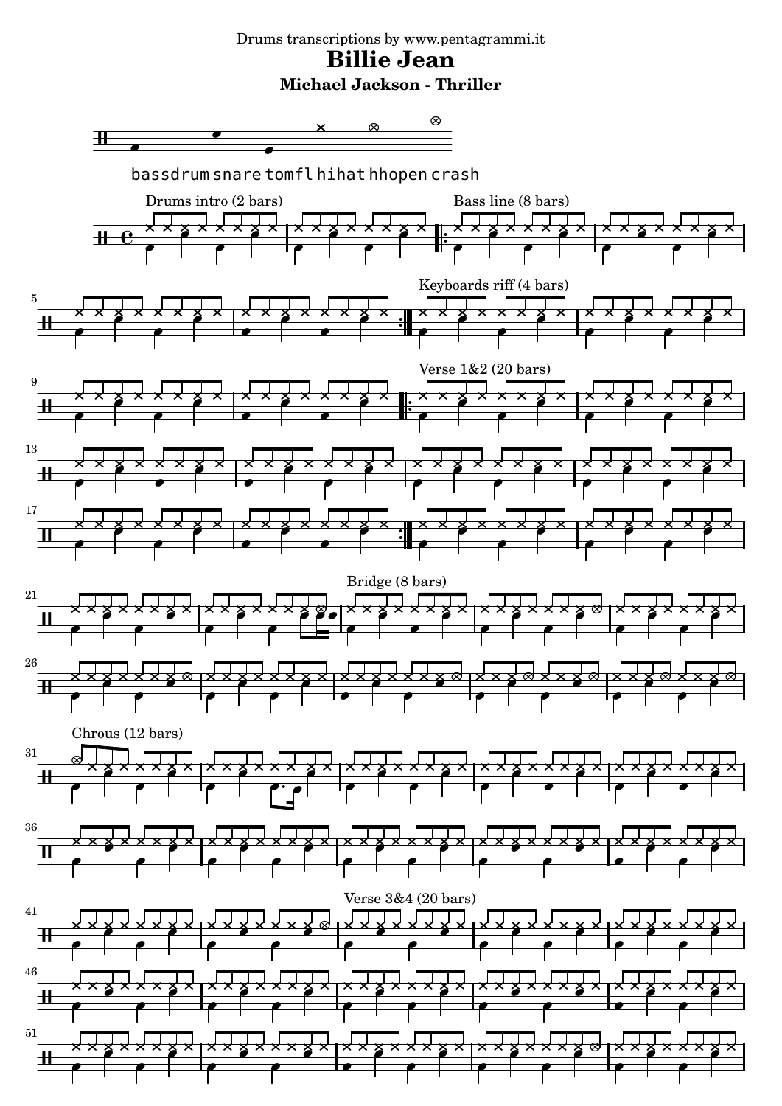## Drums transcriptions by www.pentagrammi.it **Billie Jean Michael Jackson - Thriller**